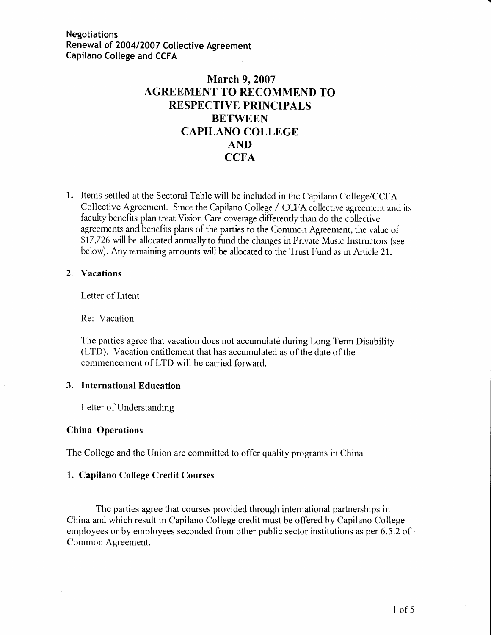# March 9, 2007 AGREEMENT TO RECOMMEND TO RESPECTIVE PRINCIPALS BETWEEN CAPILANO COLLEGE AND **CCFA**

1. Items settled at the Sectoral Table will be included in the Capilano College/CCFA Collective Agreement. Since the Capilano College / CCFA collective agreement and its faculty benefits plan treat Vision Care coverage differentlythan do the collective agreements and benefits plans of the panies to the Common Agreement, the value of \$17,726 will be allocated annually to fund the changes in Private Music Instructors (see below). Any remaining amounts will be allocated to the Trust Fund as in Article 21.

#### 2. Vacations

Letter of Intent

Re: Vacation

The parties agree that vacation does not accumulate during Long Term Disability (LTD). Vacation entitlement that has accumulated as of the date of the commencement of LTD will be carried forward.

#### 3. lnternational Education

Letter of Understanding

#### China Operations

The College and the Union are committed to offer quality programs in China

#### 1. Capilano College Credit Courses

The parties agree that courses provided through international partnerships in China and which result in Capilano College credit must be offered by Capilano College employees or by employees seconded from other public sector institutions as per 6.5 .2 of Common Agreement.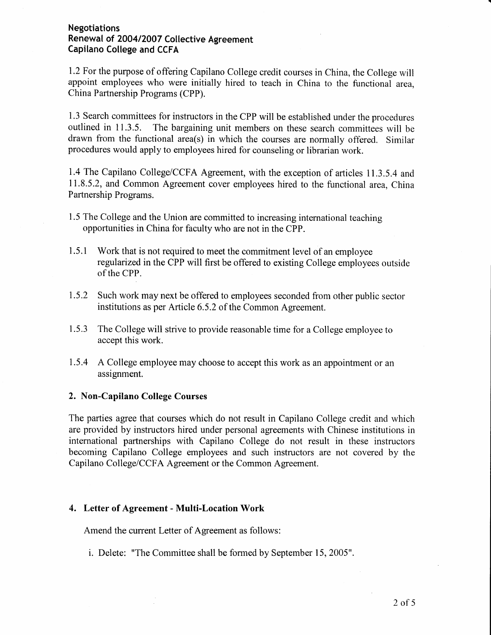1.2 For the purpose of offering Capilano College credit courses in China, the College will appoint employees who were initially hired to teach in China to the functional area. China Partnership Programs (CPP).

1.3 Search committees for instructors in the CPP will be established under the procedures outlined in 11.3.5. The bargaining unit members on these search committees will be drawn from the functional area(s) in which the courses are normally offered. Similar procedures would apply to employees hired for counseling or librarian work.

1.4 The Capilano College/CCFA Agreement, with the exception of articles 11.3.5.4 and 11.8.5.2, and Common Agreement cover employees hired to the functional area, China Partnership Programs.

- 1.5 The College and the Union are committed to increasing international teaching opportunities in China for faculty who are not in the CPP.
- 1.5.1 Work that is not required to meet the commitment level of an employee regularized in the CPP will first be offered to existing College employees outside of the CPP.
- 1.5.2 Such work may next be offered to employees seconded fiom other public sector institutions as per Article 6.5.2 of the Common Agreement.
- 1.5.3 The College will strive to provide reasonable time for a College employee to accept this work.
- 1.5.4 A College employee may choose to accept this work as an appointment or an assignment.

#### 2. Non-Capilano College Courses

The parties agree that courses which do not result in Capilano College credit and which are provided by instructors hired under personal agreements with Chinese institutions in international partnerships with Capilano College do not result in these instructors becoming Capilano College employees and such instructors are not covered by the Capilano College/CCFA Agreement or the Common Agreement.

#### 4. Letter of Agreement - Multi-Location Work

Amend the current Letter of Agreement as follows:

i. Delete: "The Committee shall be formed by September 15, 2005"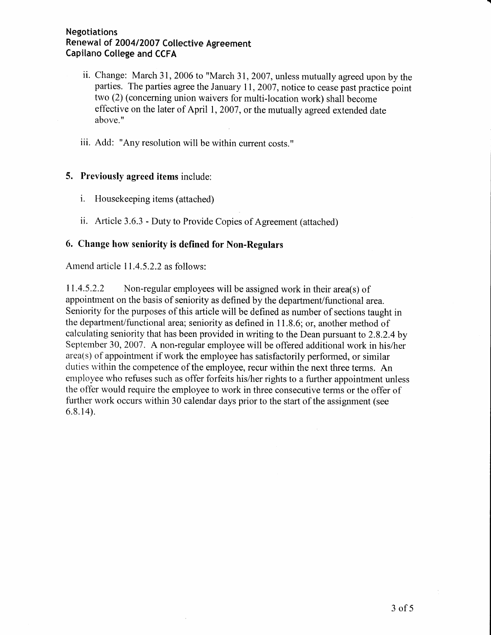- ii. Change: March 31, 2006 to "March 31, 2007, unless mutually agreed upon by the parties. The parties agree the January 11, 2007, notice to cease past practice point two (2) (concerning union waivers for multi-location work) shall become effective on the later of April l, 2007 , or the mutually agreed extended date above."
- iii. Add: "Any resolution will be within current costs."

### 5. Previously agreed items include:

- i. Housekeeping items (attached)
- ii. Article 3.6.3 Duty to Provide Copies of Agreement (attached)

### 6. Change how seniority is defined for Non-Regulars

Amend article 11.4.5.2.2 as follows:

11.4.5.2.2 Non-regular employees will be assigned work in their area(s) of appointrnent on the basis of seniority as defined by the department/functional area. Seniority for the purposes of this article will be defined as number of sections taught in the department/functional area; seniority as defined in 11.8.6; or, another method of calculating seniority that has been provided in writing to the Dean pursuant to 2.8.2.4by September 30, 2007. A non-regular employee will be offered additional work in his/her area(s) of appointment if work the employee has satisfactorily performed, or similar duties within the competence of the employee, recur within the next three terms. An employee who refuses such as offer forfeits his/her rights to a further appointment unless the offer would require the ernployee to work in three consecutive terms or the offer of further work occurs within 30 calendar days prior to the start of the assignment (see 6.8.14).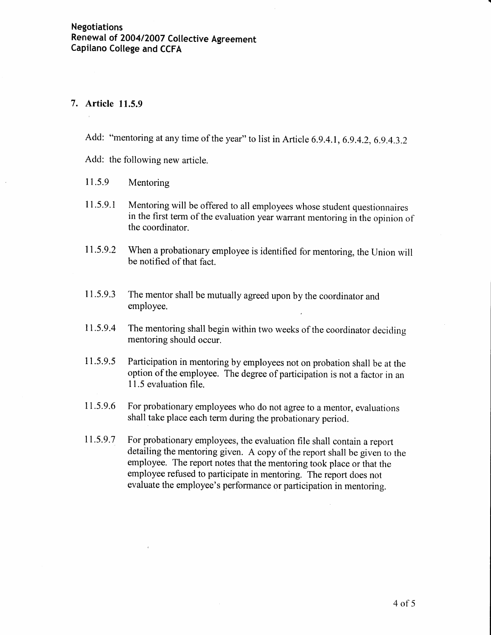### 7. Article 11.5.9

Add: "mentoring at any time of the year" to list in Article 6.9.4.1, 6.9.4.2, 6.9.4.3.2

Add: the following new article.

- 11.5.9 Mentoring
- I1.5.9.1 Mentoring will be offered to all employees whose student questionnaires in the first term of the evaluation year warrant mentoring in the opinion of the coordinator.
- 11.5.9.2 When a probationary employee is identified for mentoring, the Union will be notified of that fact.
- I 1.5.9.3 The mentor shall be mutually agreed upon by the coordinator and employee.
- 11.5.9.4 The mentoring shall begin within two weeks of the coordinator deciding mentoring should occur.
- 1 1.5.9.5 Participation in mentoring by employees not on probation shall be at the option of the employee. The degree of participation is not a factor in an 11.5 evaluation file.
- 11.5.9.6 For probationary employees who do not agree to a mentor, evaluations shall take place each term during the probationary period.
- 11.5.9.7 For probationary employees, the evaluation file shall contain a report detailing the mentoring given. A copy of the report shall be given to the employee. The report notes that the mentoring took place or that the employee refused to participate in mentoring. The report does not evaluate the employee's performance or participation in mentoring.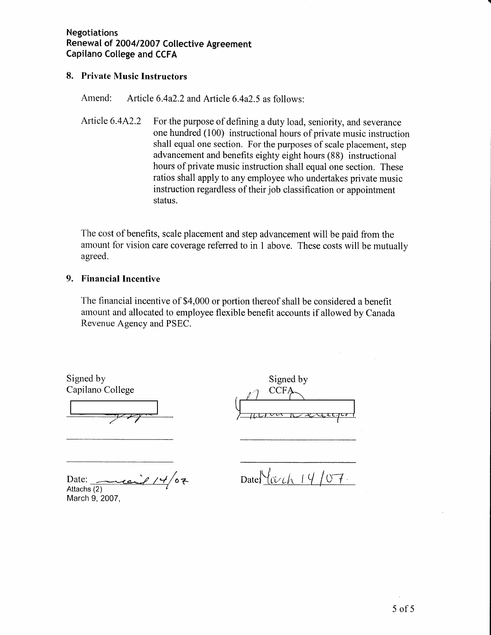### 8. Private Music Instructors

Amend: Article 6.4a2.2 and Article 6.4a2.5 as follows:

Article 6.4A2.2 For the purpose of defining a duty load, seniority, and severance one hundred (100) instructional hours of private music instruction shall equal one section. For the purposes of scale placement, step advancement and benefits eighty eight hours (88) instructional hours of private music instruction shall equal one section. These ratios shall apply to any employee who undertakes private music instruction regardless of their job classification or appointment status.

The cost of benefits, scale placement and step advancement will be paid from the amount for vision care coverage referred to in 1 above. These costs will be mutually agreed.

### 9. Financial Incentive

'fhe financial incentive of \$4,000 or portion thereof shall be considered a benefit amount and allocated to employee flexible benefit accounts if allowed by Canada Revenue Agency and PSEC.

Signed by Capilano College

Signed by  $CCF$ 

Date: Date:  $Date:$  Date:  $\frac{14}{67}$ . Attachs (2) March 9, 2007,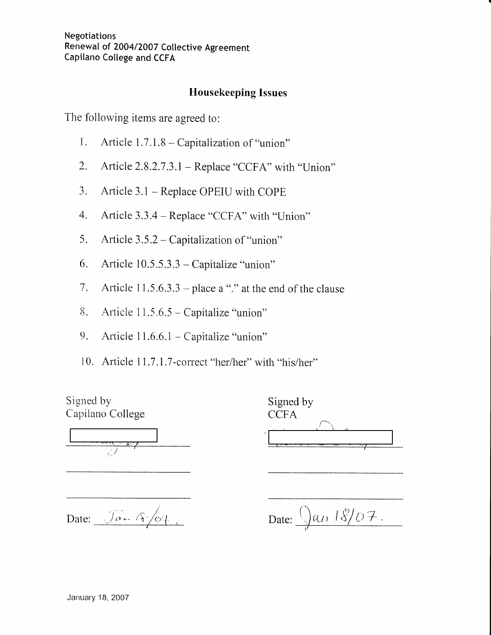## Housekeeping Issues

The following items are agreed to:

- 1. Article  $1.7.1.8$  Capitalization of "union"
- 2. Article 2.8.2.7.3.1 Replace "CCFA" with "Union"
- 3. Article 3.1 Replace OPEIU with COPE
- 4. Article 3.3.4 Replace "CCFA" with "Union"
- 5. Article  $3.5.2 -$ Capitalization of "union"
- 6. Article  $10.5.5.3.3 -$ Capitalize "union"
- 7. Article  $11.5.6.3.3$  place a "." at the end of the clause
- 8. Article  $11.5.6.5 -$  Capitalize "union"
- 9. Article  $11.6.6.1 -$ Capitalize "union"
- 10. Article 11.7.1.7-correct "her/her" with "his/her"

Signed by Capilano College

| Signed by   |
|-------------|
| <b>CCFA</b> |
|             |
|             |
|             |

Date:  $\bigcirc$ u, 18/07.  $_{\nu}$ 

Date:  $\sqrt{20 - (8/67)}$